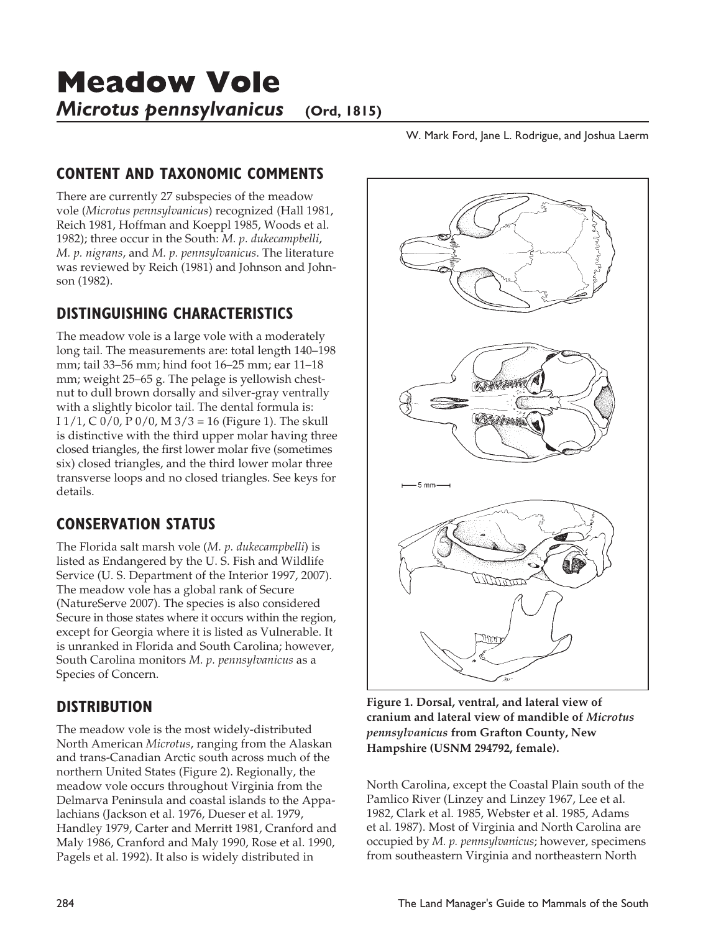*Microtus pennsylvanicus* (Ord, 1815)

W. Mark Ford, Jane L. Rodrigue, and Joshua Laerm

## **CONTENT AND TAXONOMIC COMMENTS**

There are currently 27 subspecies of the meadow vole (*Microtus pennsylvanicus*) recognized (Hall 1981, Reich 1981, Hoffman and Koeppl 1985, Woods et al. 1982); three occur in the South: *M. p. dukecampbelli*, *M. p. nigrans*, and *M. p. pennsylvanicus*. The literature was reviewed by Reich (1981) and Johnson and Johnson (1982).

## **DISTINGUISHING CHARACTERISTICS**

The meadow vole is a large vole with a moderately long tail. The measurements are: total length 140–198 mm; tail 33–56 mm; hind foot 16–25 mm; ear 11–18 mm; weight 25–65 g. The pelage is yellowish chestnut to dull brown dorsally and silver-gray ventrally with a slightly bicolor tail. The dental formula is: I  $1/1$ , C  $0/0$ , P  $0/0$ , M  $3/3 = 16$  (Figure 1). The skull is distinctive with the third upper molar having three closed triangles, the first lower molar five (sometimes six) closed triangles, and the third lower molar three transverse loops and no closed triangles. See keys for details.

# **CONSERVATION STATUS**

The Florida salt marsh vole (*M. p. dukecampbelli*) is listed as Endangered by the U. S. Fish and Wildlife Service (U. S. Department of the Interior 1997, 2007). The meadow vole has a global rank of Secure (NatureServe 2007). The species is also considered Secure in those states where it occurs within the region, except for Georgia where it is listed as Vulnerable. It is unranked in Florida and South Carolina; however, South Carolina monitors *M. p. pennsylvanicus* as a Species of Concern.

# **DISTRIBUTION**

The meadow vole is the most widely-distributed North American *Microtus*, ranging from the Alaskan and trans-Canadian Arctic south across much of the northern United States (Figure 2). Regionally, the meadow vole occurs throughout Virginia from the Delmarva Peninsula and coastal islands to the Appalachians (Jackson et al. 1976, Dueser et al. 1979, Handley 1979, Carter and Merritt 1981, Cranford and Maly 1986, Cranford and Maly 1990, Rose et al. 1990, Pagels et al. 1992). It also is widely distributed in



**Figure 1. Dorsal, ventral, and lateral view of cranium and lateral view of mandible of** *Microtus pennsylvanicus* **from Grafton County, New Hampshire (USNM 294792, female).**

North Carolina, except the Coastal Plain south of the Pamlico River (Linzey and Linzey 1967, Lee et al. 1982, Clark et al. 1985, Webster et al. 1985, Adams et al. 1987). Most of Virginia and North Carolina are occupied by *M. p. pennsylvanicus*; however, specimens from southeastern Virginia and northeastern North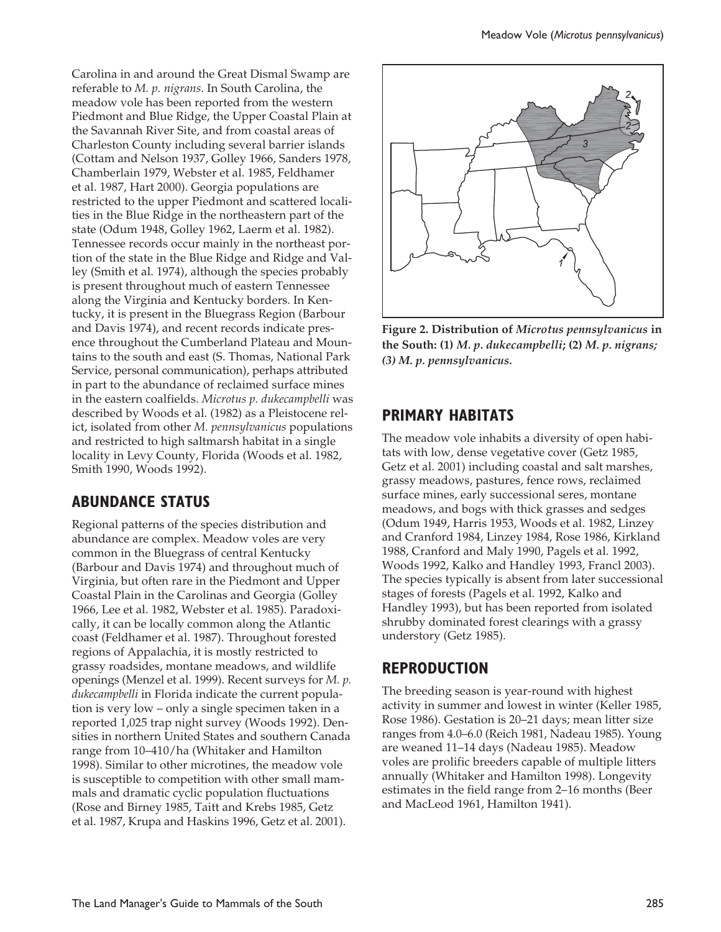Meadow Vole (*Microtus pennsylvanicus*)

Carolina in and around the Great Dismal Swamp are referable to *M. p. nigrans*. In South Carolina, the meadow vole has been reported from the western Piedmont and Blue Ridge, the Upper Coastal Plain at the Savannah River Site, and from coastal areas of Charleston County including several barrier islands (Cottam and Nelson 1937, Golley 1966, Sanders 1978, Chamberlain 1979, Webster et al. 1985, Feldhamer et al. 1987, Hart 2000). Georgia populations are restricted to the upper Piedmont and scattered localities in the Blue Ridge in the northeastern part of the state (Odum 1948, Golley 1962, Laerm et al. 1982). Tennessee records occur mainly in the northeast portion of the state in the Blue Ridge and Ridge and Valley (Smith et al. 1974), although the species probably is present throughout much of eastern Tennessee along the Virginia and Kentucky borders. In Kentucky, it is present in the Bluegrass Region (Barbour and Davis 1974), and recent records indicate presence throughout the Cumberland Plateau and Mountains to the south and east (S. Thomas, National Park Service, personal communication), perhaps attributed in part to the abundance of reclaimed surface mines in the eastern coalfields. *Microtus p. dukecampbelli* was described by Woods et al. (1982) as a Pleistocene relict, isolated from other *M. pennsylvanicus* populations and restricted to high saltmarsh habitat in a single locality in Levy County, Florida (Woods et al. 1982, Smith 1990, Woods 1992).

#### **ABUNDANCE STATUS**

Regional patterns of the species distribution and abundance are complex. Meadow voles are very common in the Bluegrass of central Kentucky (Barbour and Davis 1974) and throughout much of Virginia, but often rare in the Piedmont and Upper Coastal Plain in the Carolinas and Georgia (Golley 1966, Lee et al. 1982, Webster et al. 1985). Paradoxically, it can be locally common along the Atlantic coast (Feldhamer et al. 1987). Throughout forested regions of Appalachia, it is mostly restricted to grassy roadsides, montane meadows, and wildlife openings (Menzel et al. 1999). Recent surveys for *M. p. dukecampbelli* in Florida indicate the current population is very low – only a single specimen taken in a reported 1,025 trap night survey (Woods 1992). Densities in northern United States and southern Canada range from 10–410/ha (Whitaker and Hamilton 1998). Similar to other microtines, the meadow vole is susceptible to competition with other small mammals and dramatic cyclic population fluctuations (Rose and Birney 1985, Taitt and Krebs 1985, Getz et al. 1987, Krupa and Haskins 1996, Getz et al. 2001).



**Figure 2. Distribution of** *Microtus pennsylvanicus* **in the South: (1)** *M. p. dukecampbelli***; (2)** *M. p. nigrans; (3) M. p. pennsylvanicus.*

## **PRIMARY HABITATS**

The meadow vole inhabits a diversity of open habitats with low, dense vegetative cover (Getz 1985, Getz et al. 2001) including coastal and salt marshes, grassy meadows, pastures, fence rows, reclaimed surface mines, early successional seres, montane meadows, and bogs with thick grasses and sedges (Odum 1949, Harris 1953, Woods et al. 1982, Linzey and Cranford 1984, Linzey 1984, Rose 1986, Kirkland 1988, Cranford and Maly 1990, Pagels et al. 1992, Woods 1992, Kalko and Handley 1993, Francl 2003). The species typically is absent from later successional stages of forests (Pagels et al. 1992, Kalko and Handley 1993), but has been reported from isolated shrubby dominated forest clearings with a grassy understory (Getz 1985).

#### **REPRODUCTION**

The breeding season is year-round with highest activity in summer and lowest in winter (Keller 1985, Rose 1986). Gestation is 20–21 days; mean litter size ranges from 4.0–6.0 (Reich 1981, Nadeau 1985). Young are weaned 11–14 days (Nadeau 1985). Meadow voles are prolific breeders capable of multiple litters annually (Whitaker and Hamilton 1998). Longevity estimates in the field range from 2–16 months (Beer and MacLeod 1961, Hamilton 1941).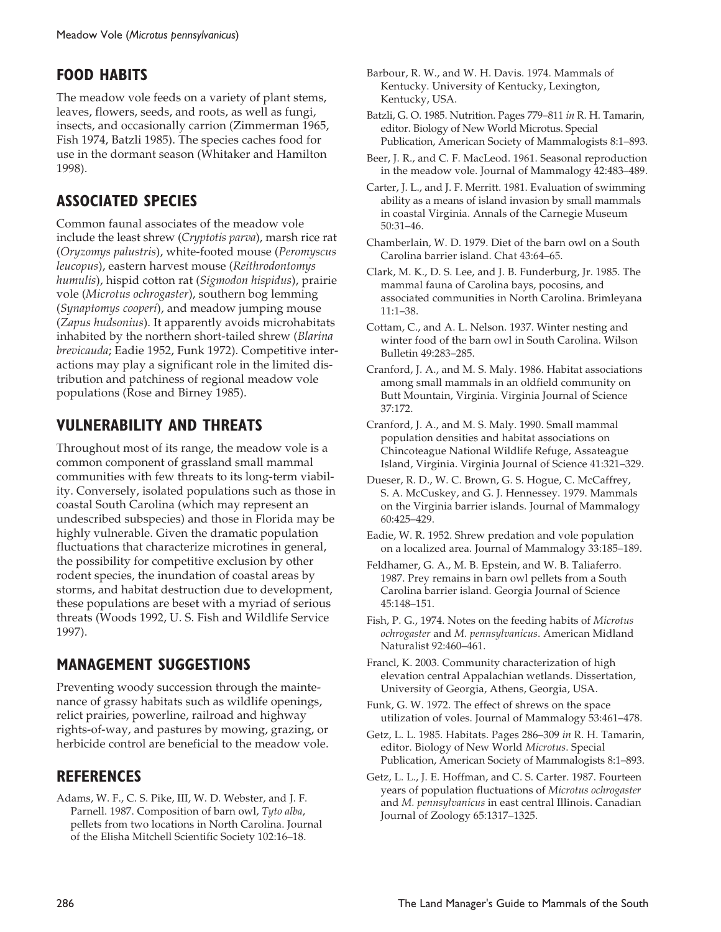## **FOOD HABITS**

The meadow vole feeds on a variety of plant stems, leaves, flowers, seeds, and roots, as well as fungi, insects, and occasionally carrion (Zimmerman 1965, Fish 1974, Batzli 1985). The species caches food for use in the dormant season (Whitaker and Hamilton 1998).

## **ASSOCIATED SPECIES**

Common faunal associates of the meadow vole include the least shrew (*Cryptotis parva*), marsh rice rat (*Oryzomys palustris*), white-footed mouse (*Peromyscus leucopus*), eastern harvest mouse (*Reithrodontomys humulis*), hispid cotton rat (*Sigmodon hispidus*), prairie vole (*Microtus ochrogaster*), southern bog lemming (*Synaptomys cooperi*), and meadow jumping mouse (*Zapus hudsonius*). It apparently avoids microhabitats inhabited by the northern short-tailed shrew (*Blarina brevicauda*; Eadie 1952, Funk 1972). Competitive interactions may play a significant role in the limited distribution and patchiness of regional meadow vole populations (Rose and Birney 1985).

# **VULNERABILITY AND THREATS**

Throughout most of its range, the meadow vole is a common component of grassland small mammal communities with few threats to its long-term viability. Conversely, isolated populations such as those in coastal South Carolina (which may represent an undescribed subspecies) and those in Florida may be highly vulnerable. Given the dramatic population fluctuations that characterize microtines in general, the possibility for competitive exclusion by other rodent species, the inundation of coastal areas by storms, and habitat destruction due to development, these populations are beset with a myriad of serious threats (Woods 1992, U. S. Fish and Wildlife Service 1997).

#### **MANAGEMENT SUGGESTIONS**

Preventing woody succession through the maintenance of grassy habitats such as wildlife openings, relict prairies, powerline, railroad and highway rights-of-way, and pastures by mowing, grazing, or herbicide control are beneficial to the meadow vole.

#### **REFERENCES**

Adams, W. F., C. S. Pike, III, W. D. Webster, and J. F. Parnell. 1987. Composition of barn owl, *Tyto alba*, pellets from two locations in North Carolina. Journal of the Elisha Mitchell Scientific Society 102:16–18.

- Barbour, R. W., and W. H. Davis. 1974. Mammals of Kentucky. University of Kentucky, Lexington, Kentucky, USA.
- Batzli, G. O. 1985. Nutrition. Pages 779–811 *in* R. H. Tamarin, editor. Biology of New World Microtus. Special Publication, American Society of Mammalogists 8:1–893.
- Beer, J. R., and C. F. MacLeod. 1961. Seasonal reproduction in the meadow vole. Journal of Mammalogy 42:483–489.
- Carter, J. L., and J. F. Merritt. 1981. Evaluation of swimming ability as a means of island invasion by small mammals in coastal Virginia. Annals of the Carnegie Museum 50:31–46.
- Chamberlain, W. D. 1979. Diet of the barn owl on a South Carolina barrier island. Chat 43:64–65.

Clark, M. K., D. S. Lee, and J. B. Funderburg, Jr. 1985. The mammal fauna of Carolina bays, pocosins, and associated communities in North Carolina. Brimleyana 11:1–38.

- Cottam, C., and A. L. Nelson. 1937. Winter nesting and winter food of the barn owl in South Carolina. Wilson Bulletin 49:283–285.
- Cranford, J. A., and M. S. Maly. 1986. Habitat associations among small mammals in an oldfield community on Butt Mountain, Virginia. Virginia Journal of Science 37:172.

Cranford, J. A., and M. S. Maly. 1990. Small mammal population densities and habitat associations on Chincoteague National Wildlife Refuge, Assateague Island, Virginia. Virginia Journal of Science 41:321–329.

- Dueser, R. D., W. C. Brown, G. S. Hogue, C. McCaffrey, S. A. McCuskey, and G. J. Hennessey. 1979. Mammals on the Virginia barrier islands. Journal of Mammalogy 60:425–429.
- Eadie, W. R. 1952. Shrew predation and vole population on a localized area. Journal of Mammalogy 33:185–189.
- Feldhamer, G. A., M. B. Epstein, and W. B. Taliaferro. 1987. Prey remains in barn owl pellets from a South Carolina barrier island. Georgia Journal of Science 45:148–151.
- Fish, P. G., 1974. Notes on the feeding habits of *Microtus ochrogaster* and *M. pennsylvanicus*. American Midland Naturalist 92:460–461.
- Francl, K. 2003. Community characterization of high elevation central Appalachian wetlands. Dissertation, University of Georgia, Athens, Georgia, USA.
- Funk, G. W. 1972. The effect of shrews on the space utilization of voles. Journal of Mammalogy 53:461–478.
- Getz, L. L. 1985. Habitats. Pages 286–309 *in* R. H. Tamarin, editor. Biology of New World *Microtus*. Special Publication, American Society of Mammalogists 8:1–893.
- Getz, L. L., J. E. Hoffman, and C. S. Carter. 1987. Fourteen years of population fluctuations of *Microtus ochrogaster* and *M. pennsylvanicus* in east central Illinois. Canadian Journal of Zoology 65:1317–1325.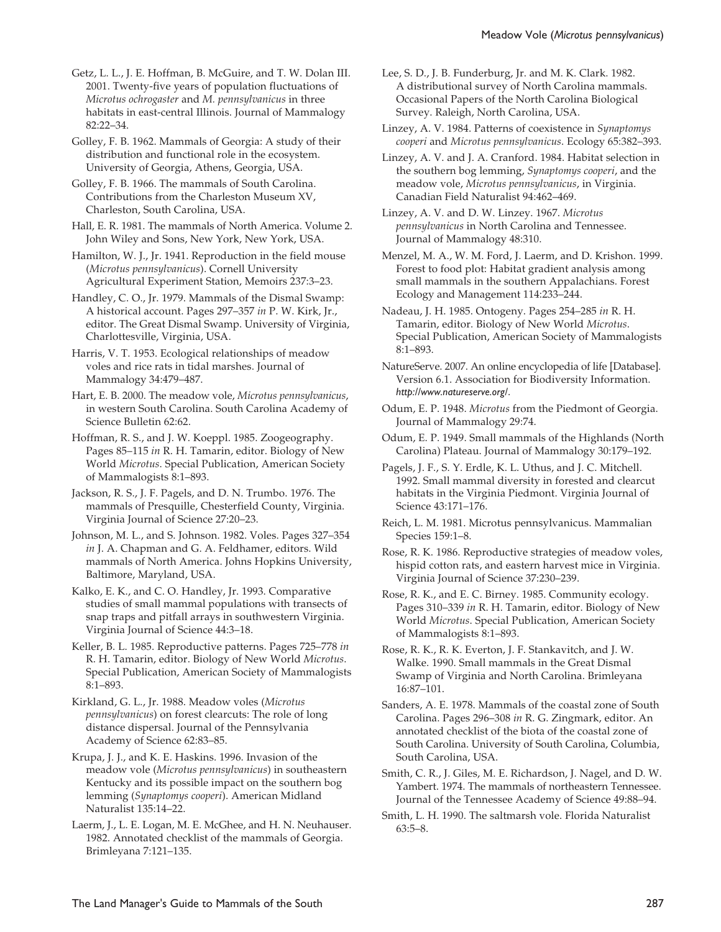Getz, L. L., J. E. Hoffman, B. McGuire, and T. W. Dolan III. 2001. Twenty-five years of population fluctuations of *Microtus ochrogaster* and *M. pennsylvanicus* in three habitats in east-central Illinois. Journal of Mammalogy 82:22–34.

Golley, F. B. 1962. Mammals of Georgia: A study of their distribution and functional role in the ecosystem. University of Georgia, Athens, Georgia, USA.

Golley, F. B. 1966. The mammals of South Carolina. Contributions from the Charleston Museum XV, Charleston, South Carolina, USA.

Hall, E. R. 1981. The mammals of North America. Volume 2. John Wiley and Sons, New York, New York, USA.

Hamilton, W. J., Jr. 1941. Reproduction in the field mouse (*Microtus pennsylvanicus*). Cornell University Agricultural Experiment Station, Memoirs 237:3–23.

Handley, C. O., Jr. 1979. Mammals of the Dismal Swamp: A historical account. Pages 297–357 *in* P. W. Kirk, Jr., editor. The Great Dismal Swamp. University of Virginia, Charlottesville, Virginia, USA.

Harris, V. T. 1953. Ecological relationships of meadow voles and rice rats in tidal marshes. Journal of Mammalogy 34:479–487.

Hart, E. B. 2000. The meadow vole, *Microtus pennsylvanicus*, in western South Carolina. South Carolina Academy of Science Bulletin 62:62.

Hoffman, R. S., and J. W. Koeppl. 1985. Zoogeography. Pages 85–115 *in* R. H. Tamarin, editor. Biology of New World *Microtus*. Special Publication, American Society of Mammalogists 8:1–893.

Jackson, R. S., J. F. Pagels, and D. N. Trumbo. 1976. The mammals of Presquille, Chesterfield County, Virginia. Virginia Journal of Science 27:20–23.

Johnson, M. L., and S. Johnson. 1982. Voles. Pages 327–354 *in* J. A. Chapman and G. A. Feldhamer, editors. Wild mammals of North America. Johns Hopkins University, Baltimore, Maryland, USA.

Kalko, E. K., and C. O. Handley, Jr. 1993. Comparative studies of small mammal populations with transects of snap traps and pitfall arrays in southwestern Virginia. Virginia Journal of Science 44:3–18.

Keller, B. L. 1985. Reproductive patterns. Pages 725–778 *in* R. H. Tamarin, editor. Biology of New World *Microtus*. Special Publication, American Society of Mammalogists 8:1–893.

Kirkland, G. L., Jr. 1988. Meadow voles (*Microtus pennsylvanicus*) on forest clearcuts: The role of long distance dispersal. Journal of the Pennsylvania Academy of Science 62:83–85.

Krupa, J. J., and K. E. Haskins. 1996. Invasion of the meadow vole (*Microtus pennsylvanicus*) in southeastern Kentucky and its possible impact on the southern bog lemming (*Synaptomys cooperi*). American Midland Naturalist 135:14–22.

Laerm, J., L. E. Logan, M. E. McGhee, and H. N. Neuhauser. 1982. Annotated checklist of the mammals of Georgia. Brimleyana 7:121–135.

Lee, S. D., J. B. Funderburg, Jr. and M. K. Clark. 1982. A distributional survey of North Carolina mammals. Occasional Papers of the North Carolina Biological Survey. Raleigh, North Carolina, USA.

Linzey, A. V. 1984. Patterns of coexistence in *Synaptomys cooperi* and *Microtus pennsylvanicus*. Ecology 65:382–393.

Linzey, A. V. and J. A. Cranford. 1984. Habitat selection in the southern bog lemming, *Synaptomys cooperi*, and the meadow vole, *Microtus pennsylvanicus*, in Virginia. Canadian Field Naturalist 94:462–469.

Linzey, A. V. and D. W. Linzey. 1967. *Microtus pennsylvanicus* in North Carolina and Tennessee. Journal of Mammalogy 48:310.

Menzel, M. A., W. M. Ford, J. Laerm, and D. Krishon. 1999. Forest to food plot: Habitat gradient analysis among small mammals in the southern Appalachians. Forest Ecology and Management 114:233–244.

Nadeau, J. H. 1985. Ontogeny. Pages 254–285 *in* R. H. Tamarin, editor. Biology of New World *Microtus*. Special Publication, American Society of Mammalogists 8:1–893.

NatureServe. 2007. An online encyclopedia of life [Database]. Version 6.1. Association for Biodiversity Information. *http://www.natureserve.org/*.

Odum, E. P. 1948. *Microtus* from the Piedmont of Georgia. Journal of Mammalogy 29:74.

Odum, E. P. 1949. Small mammals of the Highlands (North Carolina) Plateau. Journal of Mammalogy 30:179–192.

Pagels, J. F., S. Y. Erdle, K. L. Uthus, and J. C. Mitchell. 1992. Small mammal diversity in forested and clearcut habitats in the Virginia Piedmont. Virginia Journal of Science 43:171–176.

Reich, L. M. 1981. Microtus pennsylvanicus. Mammalian Species 159:1–8.

Rose, R. K. 1986. Reproductive strategies of meadow voles, hispid cotton rats, and eastern harvest mice in Virginia. Virginia Journal of Science 37:230–239.

Rose, R. K., and E. C. Birney. 1985. Community ecology. Pages 310–339 *in* R. H. Tamarin, editor. Biology of New World *Microtus*. Special Publication, American Society of Mammalogists 8:1–893.

Rose, R. K., R. K. Everton, J. F. Stankavitch, and J. W. Walke. 1990. Small mammals in the Great Dismal Swamp of Virginia and North Carolina. Brimleyana 16:87–101.

Sanders, A. E. 1978. Mammals of the coastal zone of South Carolina. Pages 296–308 *in* R. G. Zingmark, editor. An annotated checklist of the biota of the coastal zone of South Carolina. University of South Carolina, Columbia, South Carolina, USA.

Smith, C. R., J. Giles, M. E. Richardson, J. Nagel, and D. W. Yambert. 1974. The mammals of northeastern Tennessee. Journal of the Tennessee Academy of Science 49:88–94.

Smith, L. H. 1990. The saltmarsh vole. Florida Naturalist 63:5–8.